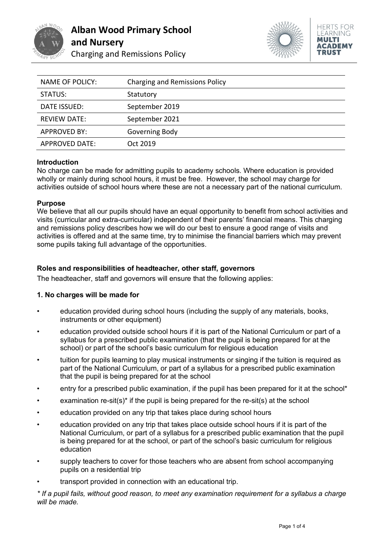



| <b>NAME OF POLICY:</b> | <b>Charging and Remissions Policy</b> |
|------------------------|---------------------------------------|
| STATUS:                | Statutory                             |
| DATE ISSUED:           | September 2019                        |
| <b>REVIEW DATE:</b>    | September 2021                        |
| <b>APPROVED BY:</b>    | Governing Body                        |
| <b>APPROVED DATE:</b>  | Oct 2019                              |

#### **Introduction**

No charge can be made for admitting pupils to academy schools. Where education is provided wholly or mainly during school hours, it must be free. However, the school may charge for activities outside of school hours where these are not a necessary part of the national curriculum.

#### **Purpose**

We believe that all our pupils should have an equal opportunity to benefit from school activities and visits (curricular and extra-curricular) independent of their parents' financial means. This charging and remissions policy describes how we will do our best to ensure a good range of visits and activities is offered and at the same time, try to minimise the financial barriers which may prevent some pupils taking full advantage of the opportunities.

## **Roles and responsibilities of headteacher, other staff, governors**

The headteacher, staff and governors will ensure that the following applies:

## **1. No charges will be made for**

- education provided during school hours (including the supply of any materials, books, instruments or other equipment)
- education provided outside school hours if it is part of the National Curriculum or part of a syllabus for a prescribed public examination (that the pupil is being prepared for at the school) or part of the school's basic curriculum for religious education
- tuition for pupils learning to play musical instruments or singing if the tuition is required as part of the National Curriculum, or part of a syllabus for a prescribed public examination that the pupil is being prepared for at the school
- entry for a prescribed public examination, if the pupil has been prepared for it at the school\*
- examination re-sit(s)<sup>\*</sup> if the pupil is being prepared for the re-sit(s) at the school
- education provided on any trip that takes place during school hours
- education provided on any trip that takes place outside school hours if it is part of the National Curriculum, or part of a syllabus for a prescribed public examination that the pupil is being prepared for at the school, or part of the school's basic curriculum for religious education
- supply teachers to cover for those teachers who are absent from school accompanying pupils on a residential trip
- transport provided in connection with an educational trip.

*\* If a pupil fails, without good reason, to meet any examination requirement for a syllabus a charge will be made.*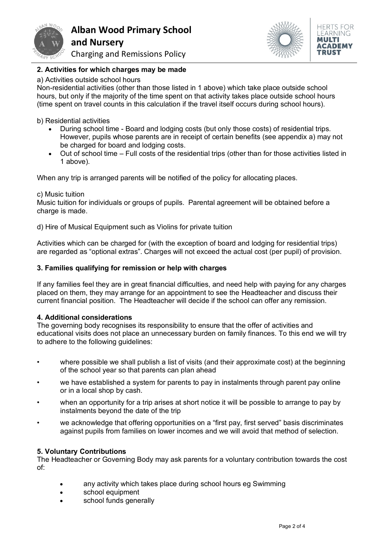

**Alban Wood Primary School and Nursery**

Charging and Remissions Policy



# **2. Activities for which charges may be made**

#### a) Activities outside school hours

Non-residential activities (other than those listed in 1 above) which take place outside school hours, but only if the majority of the time spent on that activity takes place outside school hours (time spent on travel counts in this calculation if the travel itself occurs during school hours).

b) Residential activities

- During school time Board and lodging costs (but only those costs) of residential trips. However, pupils whose parents are in receipt of certain benefits (see appendix a) may not be charged for board and lodging costs.
- Out of school time Full costs of the residential trips (other than for those activities listed in 1 above).

When any trip is arranged parents will be notified of the policy for allocating places.

#### c) Music tuition

Music tuition for individuals or groups of pupils. Parental agreement will be obtained before a charge is made.

d) Hire of Musical Equipment such as Violins for private tuition

Activities which can be charged for (with the exception of board and lodging for residential trips) are regarded as "optional extras". Charges will not exceed the actual cost (per pupil) of provision.

#### **3. Families qualifying for remission or help with charges**

If any families feel they are in great financial difficulties, and need help with paying for any charges placed on them, they may arrange for an appointment to see the Headteacher and discuss their current financial position. The Headteacher will decide if the school can offer any remission.

#### **4. Additional considerations**

The governing body recognises its responsibility to ensure that the offer of activities and educational visits does not place an unnecessary burden on family finances. To this end we will try to adhere to the following quidelines:

- where possible we shall publish a list of visits (and their approximate cost) at the beginning of the school year so that parents can plan ahead
- we have established a system for parents to pay in instalments through parent pay online or in a local shop by cash.
- when an opportunity for a trip arises at short notice it will be possible to arrange to pay by instalments beyond the date of the trip
- we acknowledge that offering opportunities on a "first pay, first served" basis discriminates against pupils from families on lower incomes and we will avoid that method of selection.

## **5. Voluntary Contributions**

The Headteacher or Governing Body may ask parents for a voluntary contribution towards the cost of:

- any activity which takes place during school hours eg Swimming
- school equipment
- school funds generally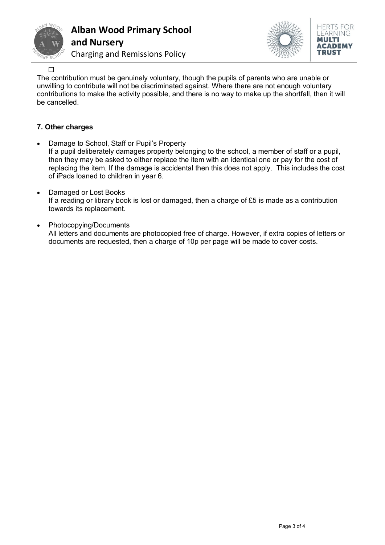

# **Alban Wood Primary School and Nursery**





 $\Box$ 

The contribution must be genuinely voluntary, though the pupils of parents who are unable or unwilling to contribute will not be discriminated against. Where there are not enough voluntary contributions to make the activity possible, and there is no way to make up the shortfall, then it will be cancelled.

# **7. Other charges**

- Damage to School, Staff or Pupil's Property If a pupil deliberately damages property belonging to the school, a member of staff or a pupil, then they may be asked to either replace the item with an identical one or pay for the cost of replacing the item. If the damage is accidental then this does not apply. This includes the cost of iPads loaned to children in year 6.
- Damaged or Lost Books If a reading or library book is lost or damaged, then a charge of £5 is made as a contribution towards its replacement.
- Photocopying/Documents All letters and documents are photocopied free of charge. However, if extra copies of letters or documents are requested, then a charge of 10p per page will be made to cover costs.